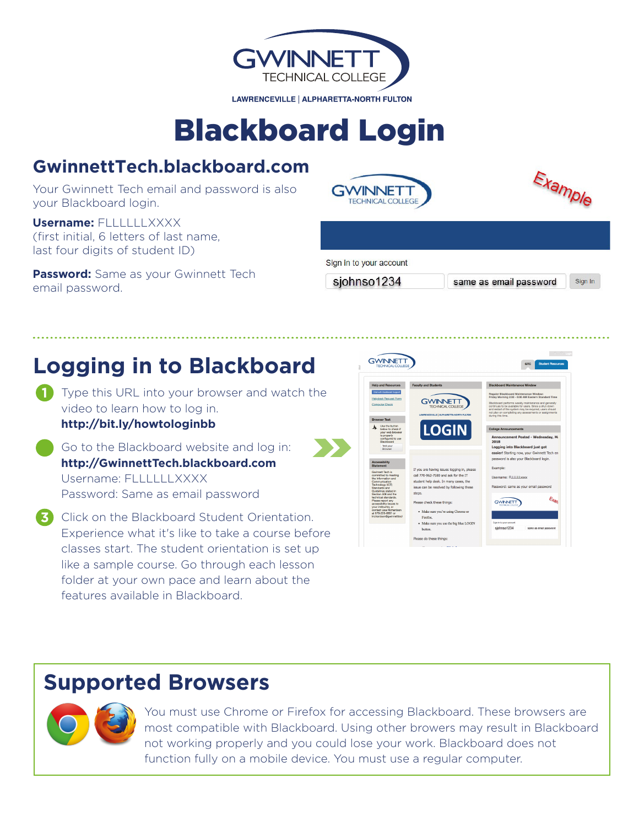

# **Blackboard Login**

### GwinnettTech.blackboard.com

Your Gwinnett Tech email and password is also your Blackboard login.

**Username: FLLLLLLXXXX** (first initial, 6 letters of last name, last four digits of student ID)

**Password:** Same as your Gwinnett Tech email password.





Sign in to your account

sjohnso1234

same as email password

Sign In

## **Logging in to Blackboard**

- Type this URL into your browser and watch the video to learn how to log in. http://bit.ly/howtologinbb
- Go to the Blackboard website and log in: http://GwinnettTech.blackboard.com Username: FITTTTT XXXX Password: Same as email password
- 3 Click on the Blackboard Student Orientation. Experience what it's like to take a course before classes start. The student orientation is set up like a sample course. Go through each lesson folder at your own pace and learn about the features available in Blackboard.



### **Supported Browsers**



You must use Chrome or Firefox for accessing Blackboard. These browsers are most compatible with Blackboard. Using other browers may result in Blackboard not working properly and you could lose your work. Blackboard does not function fully on a mobile device. You must use a regular computer.